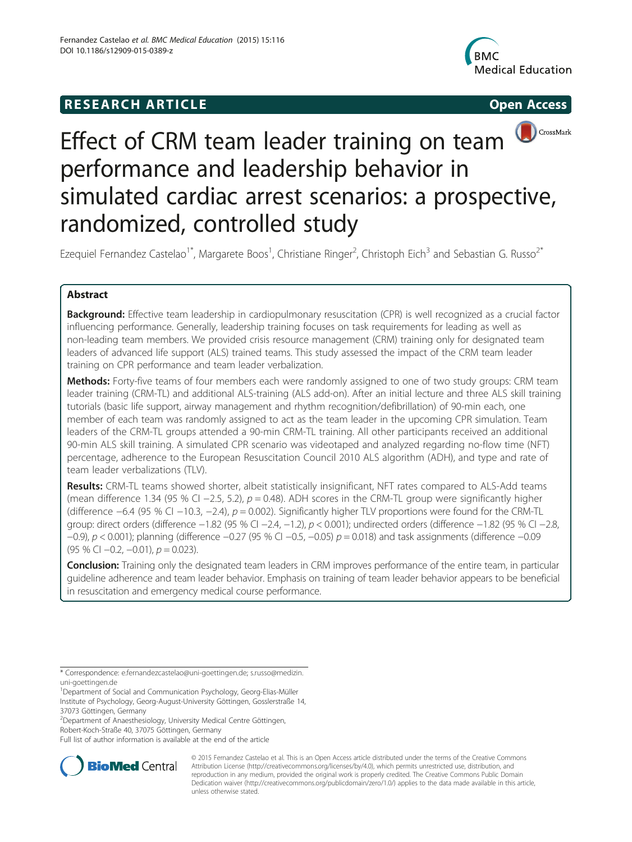## **RESEARCH ARTICLE Example 2014 CONSIDERING CONSIDERING CONSIDERING CONSIDERING CONSIDERING CONSIDERING CONSIDERING CONSIDERING CONSIDERING CONSIDERING CONSIDERING CONSIDERING CONSIDERING CONSIDERING CONSIDERING CONSIDE**







# Effect of CRM team leader training on team performance and leadership behavior in simulated cardiac arrest scenarios: a prospective, randomized, controlled study

Ezequiel Fernandez Castelao<sup>1\*</sup>, Margarete Boos<sup>1</sup>, Christiane Ringer<sup>2</sup>, Christoph Eich<sup>3</sup> and Sebastian G. Russo<sup>2\*</sup>

## Abstract

**Background:** Effective team leadership in cardiopulmonary resuscitation (CPR) is well recognized as a crucial factor influencing performance. Generally, leadership training focuses on task requirements for leading as well as non-leading team members. We provided crisis resource management (CRM) training only for designated team leaders of advanced life support (ALS) trained teams. This study assessed the impact of the CRM team leader training on CPR performance and team leader verbalization.

Methods: Forty-five teams of four members each were randomly assigned to one of two study groups: CRM team leader training (CRM-TL) and additional ALS-training (ALS add-on). After an initial lecture and three ALS skill training tutorials (basic life support, airway management and rhythm recognition/defibrillation) of 90-min each, one member of each team was randomly assigned to act as the team leader in the upcoming CPR simulation. Team leaders of the CRM-TL groups attended a 90-min CRM-TL training. All other participants received an additional 90-min ALS skill training. A simulated CPR scenario was videotaped and analyzed regarding no-flow time (NFT) percentage, adherence to the European Resuscitation Council 2010 ALS algorithm (ADH), and type and rate of team leader verbalizations (TLV).

Results: CRM-TL teams showed shorter, albeit statistically insignificant, NFT rates compared to ALS-Add teams (mean difference 1.34 (95 % CI –2.5, 5.2),  $p = 0.48$ ). ADH scores in the CRM-TL group were significantly higher (difference −6.4 (95 % CI −10.3, −2.4), p = 0.002). Significantly higher TLV proportions were found for the CRM-TL group: direct orders (difference −1.82 (95 % CI −2.4, −1.2), p < 0.001); undirected orders (difference −1.82 (95 % CI −2.8, −0.9), p < 0.001); planning (difference −0.27 (95 % CI −0.5, −0.05) p = 0.018) and task assignments (difference −0.09  $(95 % CI -0.2, -0.01), p = 0.023).$ 

**Conclusion:** Training only the designated team leaders in CRM improves performance of the entire team, in particular guideline adherence and team leader behavior. Emphasis on training of team leader behavior appears to be beneficial in resuscitation and emergency medical course performance.

2 Department of Anaesthesiology, University Medical Centre Göttingen, Robert-Koch-Straße 40, 37075 Göttingen, Germany

Full list of author information is available at the end of the article



© 2015 Fernandez Castelao et al. This is an Open Access article distributed under the terms of the Creative Commons Attribution License (<http://creativecommons.org/licenses/by/4.0>), which permits unrestricted use, distribution, and reproduction in any medium, provided the original work is properly credited. The Creative Commons Public Domain Dedication waiver [\(http://creativecommons.org/publicdomain/zero/1.0/](http://creativecommons.org/publicdomain/zero/1.0/)) applies to the data made available in this article, unless otherwise stated.

<sup>\*</sup> Correspondence: [e.fernandezcastelao@uni-goettingen.de;](mailto:e.fernandezcastelao@uni-goettingen.de) [s.russo@medizin.](mailto:s.russo@medizin.uni-goettingen.de) [uni-goettingen.de](mailto:s.russo@medizin.uni-goettingen.de)

<sup>&</sup>lt;sup>1</sup>Department of Social and Communication Psychology, Georg-Elias-Müller Institute of Psychology, Georg-August-University Göttingen, Gosslerstraße 14, 37073 Göttingen, Germany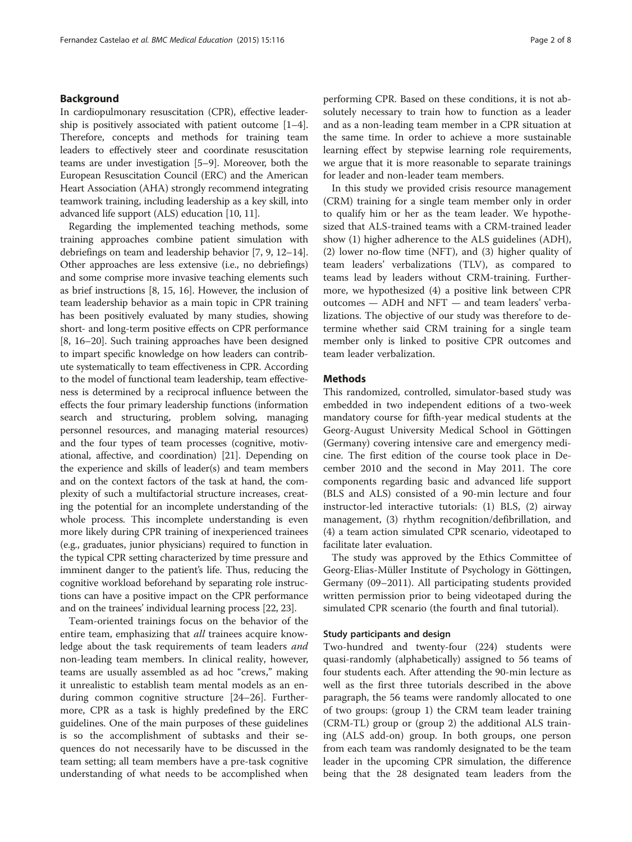## Background

In cardiopulmonary resuscitation (CPR), effective leadership is positively associated with patient outcome [[1](#page-6-0)–[4](#page-6-0)]. Therefore, concepts and methods for training team leaders to effectively steer and coordinate resuscitation teams are under investigation [\[5](#page-6-0)–[9](#page-6-0)]. Moreover, both the European Resuscitation Council (ERC) and the American Heart Association (AHA) strongly recommend integrating teamwork training, including leadership as a key skill, into advanced life support (ALS) education [[10](#page-7-0), [11\]](#page-7-0).

Regarding the implemented teaching methods, some training approaches combine patient simulation with debriefings on team and leadership behavior [[7](#page-6-0), [9](#page-6-0), [12](#page-7-0)–[14](#page-7-0)]. Other approaches are less extensive (i.e., no debriefings) and some comprise more invasive teaching elements such as brief instructions [\[8](#page-6-0), [15](#page-7-0), [16](#page-7-0)]. However, the inclusion of team leadership behavior as a main topic in CPR training has been positively evaluated by many studies, showing short- and long-term positive effects on CPR performance [[8,](#page-6-0) [16](#page-7-0)–[20](#page-7-0)]. Such training approaches have been designed to impart specific knowledge on how leaders can contribute systematically to team effectiveness in CPR. According to the model of functional team leadership, team effectiveness is determined by a reciprocal influence between the effects the four primary leadership functions (information search and structuring, problem solving, managing personnel resources, and managing material resources) and the four types of team processes (cognitive, motivational, affective, and coordination) [\[21\]](#page-7-0). Depending on the experience and skills of leader(s) and team members and on the context factors of the task at hand, the complexity of such a multifactorial structure increases, creating the potential for an incomplete understanding of the whole process. This incomplete understanding is even more likely during CPR training of inexperienced trainees (e.g., graduates, junior physicians) required to function in the typical CPR setting characterized by time pressure and imminent danger to the patient's life. Thus, reducing the cognitive workload beforehand by separating role instructions can have a positive impact on the CPR performance and on the trainees' individual learning process [\[22](#page-7-0), [23](#page-7-0)].

Team-oriented trainings focus on the behavior of the entire team, emphasizing that all trainees acquire knowledge about the task requirements of team leaders *and* non-leading team members. In clinical reality, however, teams are usually assembled as ad hoc "crews," making it unrealistic to establish team mental models as an enduring common cognitive structure [[24](#page-7-0)–[26](#page-7-0)]. Furthermore, CPR as a task is highly predefined by the ERC guidelines. One of the main purposes of these guidelines is so the accomplishment of subtasks and their sequences do not necessarily have to be discussed in the team setting; all team members have a pre-task cognitive understanding of what needs to be accomplished when

performing CPR. Based on these conditions, it is not absolutely necessary to train how to function as a leader and as a non-leading team member in a CPR situation at the same time. In order to achieve a more sustainable learning effect by stepwise learning role requirements, we argue that it is more reasonable to separate trainings for leader and non-leader team members.

In this study we provided crisis resource management (CRM) training for a single team member only in order to qualify him or her as the team leader. We hypothesized that ALS-trained teams with a CRM-trained leader show (1) higher adherence to the ALS guidelines (ADH), (2) lower no-flow time (NFT), and (3) higher quality of team leaders' verbalizations (TLV), as compared to teams lead by leaders without CRM-training. Furthermore, we hypothesized (4) a positive link between CPR outcomes — ADH and NFT — and team leaders' verbalizations. The objective of our study was therefore to determine whether said CRM training for a single team member only is linked to positive CPR outcomes and team leader verbalization.

#### Methods

This randomized, controlled, simulator-based study was embedded in two independent editions of a two-week mandatory course for fifth-year medical students at the Georg-August University Medical School in Göttingen (Germany) covering intensive care and emergency medicine. The first edition of the course took place in December 2010 and the second in May 2011. The core components regarding basic and advanced life support (BLS and ALS) consisted of a 90-min lecture and four instructor-led interactive tutorials: (1) BLS, (2) airway management, (3) rhythm recognition/defibrillation, and (4) a team action simulated CPR scenario, videotaped to facilitate later evaluation.

The study was approved by the Ethics Committee of Georg-Elias-Müller Institute of Psychology in Göttingen, Germany (09–2011). All participating students provided written permission prior to being videotaped during the simulated CPR scenario (the fourth and final tutorial).

#### Study participants and design

Two-hundred and twenty-four (224) students were quasi-randomly (alphabetically) assigned to 56 teams of four students each. After attending the 90-min lecture as well as the first three tutorials described in the above paragraph, the 56 teams were randomly allocated to one of two groups: (group 1) the CRM team leader training (CRM-TL) group or (group 2) the additional ALS training (ALS add-on) group. In both groups, one person from each team was randomly designated to be the team leader in the upcoming CPR simulation, the difference being that the 28 designated team leaders from the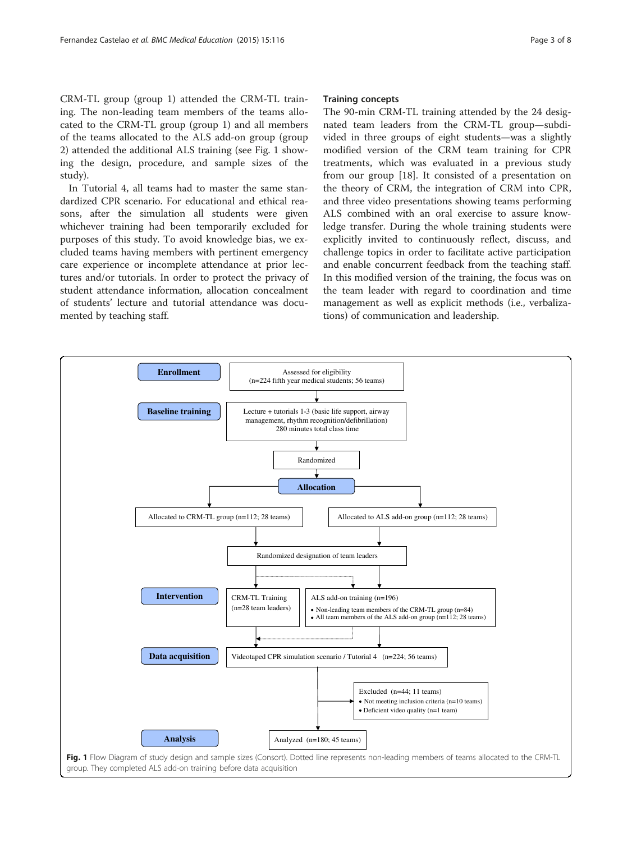CRM-TL group (group 1) attended the CRM-TL training. The non-leading team members of the teams allocated to the CRM-TL group (group 1) and all members of the teams allocated to the ALS add-on group (group 2) attended the additional ALS training (see Fig. 1 showing the design, procedure, and sample sizes of the study).

In Tutorial 4, all teams had to master the same standardized CPR scenario. For educational and ethical reasons, after the simulation all students were given whichever training had been temporarily excluded for purposes of this study. To avoid knowledge bias, we excluded teams having members with pertinent emergency care experience or incomplete attendance at prior lectures and/or tutorials. In order to protect the privacy of student attendance information, allocation concealment of students' lecture and tutorial attendance was documented by teaching staff.

#### Training concepts

The 90-min CRM-TL training attended by the 24 designated team leaders from the CRM-TL group—subdivided in three groups of eight students—was a slightly modified version of the CRM team training for CPR treatments, which was evaluated in a previous study from our group [\[18\]](#page-7-0). It consisted of a presentation on the theory of CRM, the integration of CRM into CPR, and three video presentations showing teams performing ALS combined with an oral exercise to assure knowledge transfer. During the whole training students were explicitly invited to continuously reflect, discuss, and challenge topics in order to facilitate active participation and enable concurrent feedback from the teaching staff. In this modified version of the training, the focus was on the team leader with regard to coordination and time management as well as explicit methods (i.e., verbalizations) of communication and leadership.

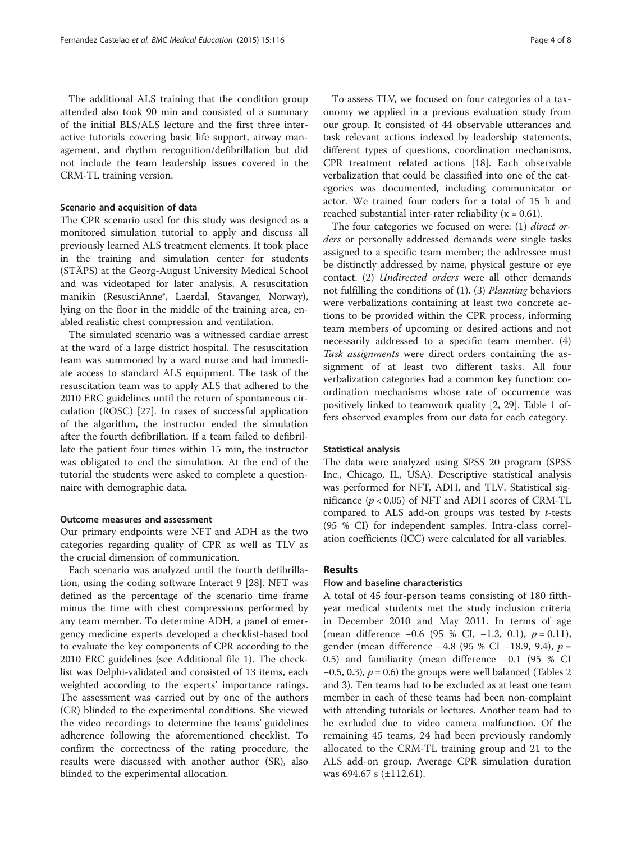The additional ALS training that the condition group attended also took 90 min and consisted of a summary of the initial BLS/ALS lecture and the first three interactive tutorials covering basic life support, airway management, and rhythm recognition/defibrillation but did not include the team leadership issues covered in the CRM-TL training version.

## Scenario and acquisition of data

The CPR scenario used for this study was designed as a monitored simulation tutorial to apply and discuss all previously learned ALS treatment elements. It took place in the training and simulation center for students (STÄPS) at the Georg-August University Medical School and was videotaped for later analysis. A resuscitation manikin (ResusciAnne®, Laerdal, Stavanger, Norway), lying on the floor in the middle of the training area, enabled realistic chest compression and ventilation.

The simulated scenario was a witnessed cardiac arrest at the ward of a large district hospital. The resuscitation team was summoned by a ward nurse and had immediate access to standard ALS equipment. The task of the resuscitation team was to apply ALS that adhered to the 2010 ERC guidelines until the return of spontaneous circulation (ROSC) [\[27](#page-7-0)]. In cases of successful application of the algorithm, the instructor ended the simulation after the fourth defibrillation. If a team failed to defibrillate the patient four times within 15 min, the instructor was obligated to end the simulation. At the end of the tutorial the students were asked to complete a questionnaire with demographic data.

## Outcome measures and assessment

Our primary endpoints were NFT and ADH as the two categories regarding quality of CPR as well as TLV as the crucial dimension of communication.

Each scenario was analyzed until the fourth defibrillation, using the coding software Interact 9 [\[28](#page-7-0)]. NFT was defined as the percentage of the scenario time frame minus the time with chest compressions performed by any team member. To determine ADH, a panel of emergency medicine experts developed a checklist-based tool to evaluate the key components of CPR according to the 2010 ERC guidelines (see Additional file [1](#page-6-0)). The checklist was Delphi-validated and consisted of 13 items, each weighted according to the experts' importance ratings. The assessment was carried out by one of the authors (CR) blinded to the experimental conditions. She viewed the video recordings to determine the teams' guidelines adherence following the aforementioned checklist. To confirm the correctness of the rating procedure, the results were discussed with another author (SR), also blinded to the experimental allocation.

To assess TLV, we focused on four categories of a taxonomy we applied in a previous evaluation study from our group. It consisted of 44 observable utterances and task relevant actions indexed by leadership statements, different types of questions, coordination mechanisms, CPR treatment related actions [[18\]](#page-7-0). Each observable verbalization that could be classified into one of the categories was documented, including communicator or actor. We trained four coders for a total of 15 h and reached substantial inter-rater reliability ( $\kappa = 0.61$ ).

The four categories we focused on were: (1) *direct or*ders or personally addressed demands were single tasks assigned to a specific team member; the addressee must be distinctly addressed by name, physical gesture or eye contact. (2) Undirected orders were all other demands not fulfilling the conditions of (1). (3) Planning behaviors were verbalizations containing at least two concrete actions to be provided within the CPR process, informing team members of upcoming or desired actions and not necessarily addressed to a specific team member. (4) Task assignments were direct orders containing the assignment of at least two different tasks. All four verbalization categories had a common key function: coordination mechanisms whose rate of occurrence was positively linked to teamwork quality [\[2](#page-6-0), [29\]](#page-7-0). Table [1](#page-4-0) offers observed examples from our data for each category.

#### Statistical analysis

The data were analyzed using SPSS 20 program (SPSS Inc., Chicago, IL, USA). Descriptive statistical analysis was performed for NFT, ADH, and TLV. Statistical significance  $(p < 0.05)$  of NFT and ADH scores of CRM-TL compared to ALS add-on groups was tested by t-tests (95 % CI) for independent samples. Intra-class correlation coefficients (ICC) were calculated for all variables.

## Results

## Flow and baseline characteristics

A total of 45 four-person teams consisting of 180 fifthyear medical students met the study inclusion criteria in December 2010 and May 2011. In terms of age (mean difference  $-0.6$  (95 % CI,  $-1.3$ , 0.1),  $p = 0.11$ ), gender (mean difference −4.8 (95 % CI −18.9, 9.4), p = 0.5) and familiarity (mean difference −0.1 (95 % CI  $-0.5$ , 0.3),  $p = 0.6$ ) the groups were well balanced (Tables [2](#page-4-0) and [3](#page-4-0)). Ten teams had to be excluded as at least one team member in each of these teams had been non-complaint with attending tutorials or lectures. Another team had to be excluded due to video camera malfunction. Of the remaining 45 teams, 24 had been previously randomly allocated to the CRM-TL training group and 21 to the ALS add-on group. Average CPR simulation duration was 694.67 s (±112.61).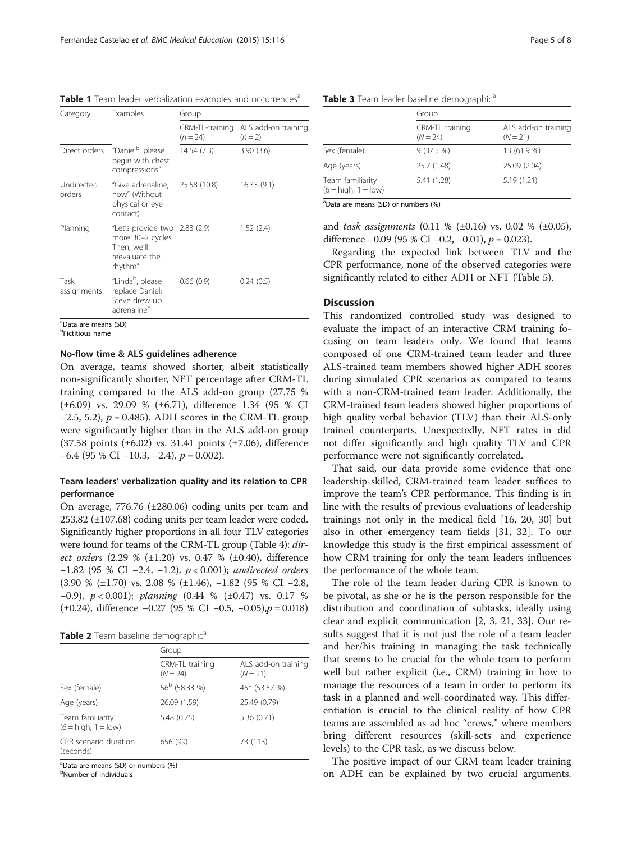<span id="page-4-0"></span>Table 1 Team leader verbalization examples and occurrences<sup>a</sup>

| Category             | Examples                                                                                       | Group                         |                                |  |  |
|----------------------|------------------------------------------------------------------------------------------------|-------------------------------|--------------------------------|--|--|
|                      |                                                                                                | CRM-TL-training<br>$(n = 24)$ | ALS add-on training<br>$(n=2)$ |  |  |
| Direct orders        | "Daniel <sup>b</sup> , please<br>begin with chest<br>compressions"                             | 14.54 (7.3)                   | 3.90(3.6)                      |  |  |
| Undirected<br>orders | "Give adrenaline,<br>now" (Without<br>physical or eye<br>contact)                              | 25.58 (10.8)                  | 16.33(9.1)                     |  |  |
| Planning             | "Let's provide two 2.83 (2.9)<br>more 30-2 cycles.<br>Then, we'll<br>reevaluate the<br>rhythm" |                               | 1.52(2.4)                      |  |  |
| Task<br>assignments  | "Linda <sup>b</sup> , please<br>replace Daniel;<br>Steve drew up<br>adrenaline"                | 0.66(0.9)                     | 0.24(0.5)                      |  |  |

a Data are means (SD)

<sup>b</sup>Fictitious name

#### No-flow time & ALS guidelines adherence

On average, teams showed shorter, albeit statistically non-significantly shorter, NFT percentage after CRM-TL training compared to the ALS add-on group (27.75 % (±6.09) vs. 29.09 % (±6.71), difference 1.34 (95 % CI −2.5, 5.2),  $p = 0.485$ . ADH scores in the CRM-TL group were significantly higher than in the ALS add-on group  $(37.58 \text{ points } (\pm 6.02) \text{ vs. } 31.41 \text{ points } (\pm 7.06) \text{, difference}$  $-6.4$  (95 % CI  $-10.3$ ,  $-2.4$ ),  $p = 0.002$ ).

## Team leaders' verbalization quality and its relation to CPR performance

On average, 776.76 (±280.06) coding units per team and 253.82 (±107.68) coding units per team leader were coded. Significantly higher proportions in all four TLV categories were found for teams of the CRM-TL group (Table [4\)](#page-5-0): dir*ect orders*  $(2.29 \% (+1.20)$  vs. 0.47 %  $(+0.40)$ , difference −1.82 (95 % CI −2.4, −1.2), p < 0.001); undirected orders (3.90 % (±1.70) vs. 2.08 % (±1.46), −1.82 (95 % CI −2.8, −0.9), p < 0.001); planning (0.44 % (±0.47) vs. 0.17 % (±0.24), difference  $-0.27$  (95 % CI  $-0.5$ ,  $-0.05$ ), $p = 0.018$ )

|  |  |  |  |  | Table 2 Team baseline demographic <sup>a</sup> |
|--|--|--|--|--|------------------------------------------------|
|--|--|--|--|--|------------------------------------------------|

|                                           | Group                         |                                   |  |  |  |
|-------------------------------------------|-------------------------------|-----------------------------------|--|--|--|
|                                           | CRM-TL training<br>$(N = 24)$ | ALS add-on training<br>$(N = 21)$ |  |  |  |
| Sex (female)                              | $56^{\circ}$ (58.33 %)        | $45^{\rm b}$ (53.57 %)            |  |  |  |
| Age (years)                               | 26.09 (1.59)                  | 25.49 (0.79)                      |  |  |  |
| Team familiarity<br>$(6 = high, 1 = low)$ | 5.48 (0.75)                   | 5.36 (0.71)                       |  |  |  |
| CPR scenario duration<br>(seconds)        | 656 (99)                      | 73 (113)                          |  |  |  |

<sup>a</sup>Data are means (SD) or numbers (%)

<sup>b</sup>Number of individuals

|  |  |  | Table 3 Team leader baseline demographic <sup>a</sup> |
|--|--|--|-------------------------------------------------------|
|--|--|--|-------------------------------------------------------|

|                                           | Group                         |                                   |  |  |  |
|-------------------------------------------|-------------------------------|-----------------------------------|--|--|--|
|                                           | CRM-TL training<br>$(N = 24)$ | ALS add-on training<br>$(N = 21)$ |  |  |  |
| Sex (female)                              | $9(37.5\%)$                   | 13 (61.9 %)                       |  |  |  |
| Age (years)                               | 25.7 (1.48)                   | 25.09 (2.04)                      |  |  |  |
| Team familiarity<br>$(6 = high, 1 = low)$ | 5.41 (1.28)                   | 5.19(1.21)                        |  |  |  |

a Data are means (SD) or numbers (%)

and task assignments  $(0.11 \, % \, (+0.16) \,$  vs. 0.02 %  $(+0.05)$ , difference  $-0.09$  (95 % CI  $-0.2$ ,  $-0.01$ ),  $p = 0.023$ ).

Regarding the expected link between TLV and the CPR performance, none of the observed categories were significantly related to either ADH or NFT (Table [5\)](#page-5-0).

## **Discussion**

This randomized controlled study was designed to evaluate the impact of an interactive CRM training focusing on team leaders only. We found that teams composed of one CRM-trained team leader and three ALS-trained team members showed higher ADH scores during simulated CPR scenarios as compared to teams with a non-CRM-trained team leader. Additionally, the CRM-trained team leaders showed higher proportions of high quality verbal behavior (TLV) than their ALS-only trained counterparts. Unexpectedly, NFT rates in did not differ significantly and high quality TLV and CPR performance were not significantly correlated.

That said, our data provide some evidence that one leadership-skilled, CRM-trained team leader suffices to improve the team's CPR performance. This finding is in line with the results of previous evaluations of leadership trainings not only in the medical field [\[16, 20](#page-7-0), [30](#page-7-0)] but also in other emergency team fields [\[31, 32](#page-7-0)]. To our knowledge this study is the first empirical assessment of how CRM training for only the team leaders influences the performance of the whole team.

The role of the team leader during CPR is known to be pivotal, as she or he is the person responsible for the distribution and coordination of subtasks, ideally using clear and explicit communication [[2, 3](#page-6-0), [21, 33\]](#page-7-0). Our results suggest that it is not just the role of a team leader and her/his training in managing the task technically that seems to be crucial for the whole team to perform well but rather explicit (i.e., CRM) training in how to manage the resources of a team in order to perform its task in a planned and well-coordinated way. This differentiation is crucial to the clinical reality of how CPR teams are assembled as ad hoc "crews," where members bring different resources (skill-sets and experience levels) to the CPR task, as we discuss below.

The positive impact of our CRM team leader training on ADH can be explained by two crucial arguments.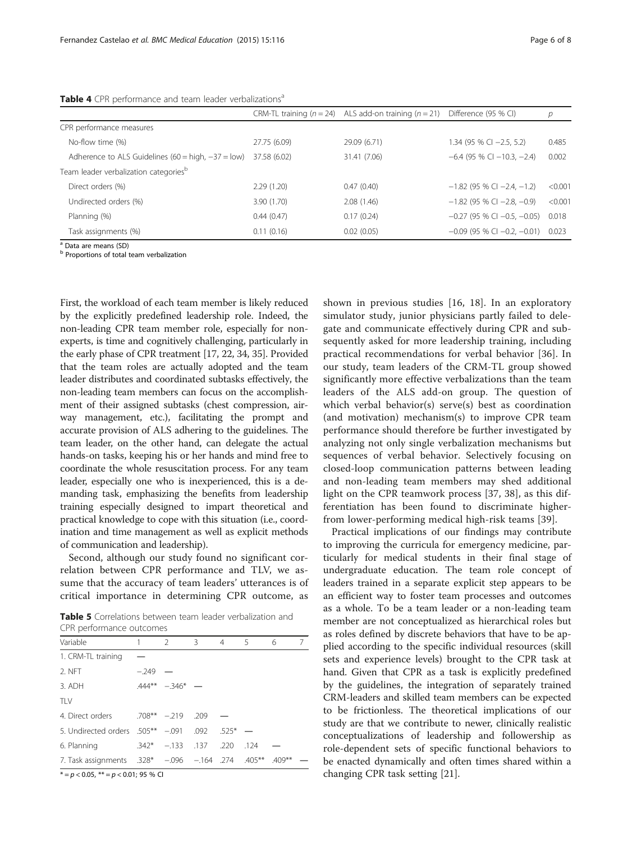|                                                      |              | CRM-TL training $(n = 24)$ ALS add-on training $(n = 21)$ | Difference (95 % CI)                | р       |
|------------------------------------------------------|--------------|-----------------------------------------------------------|-------------------------------------|---------|
| CPR performance measures                             |              |                                                           |                                     |         |
| No-flow time (%)                                     | 27.75 (6.09) | 29.09 (6.71)                                              | 1.34 (95 % CI $-2.5$ , 5.2)         | 0.485   |
| Adherence to ALS Guidelines $(60 = high, -37 = low)$ | 37.58 (6.02) | 31.41 (7.06)                                              | $-6.4$ (95 % CI $-10.3$ , $-2.4$ )  | 0.002   |
| Team leader verbalization categories <sup>b</sup>    |              |                                                           |                                     |         |
| Direct orders (%)                                    | 2.29(1.20)   | 0.47(0.40)                                                | $-1.82$ (95 % CI $-2.4$ , $-1.2$ )  | < 0.001 |
| Undirected orders (%)                                | 3.90(1.70)   | 2.08(1.46)                                                | $-1.82$ (95 % CI $-2.8$ , $-0.9$ )  | < 0.001 |
| Planning (%)                                         | 0.44(0.47)   | 0.17(0.24)                                                | $-0.27$ (95 % CI $-0.5$ , $-0.05$ ) | 0.018   |
| Task assignments (%)                                 | 0.11(0.16)   | 0.02(0.05)                                                | $-0.09$ (95 % CI $-0.2$ , $-0.01$ ) | 0.023   |

<span id="page-5-0"></span>Table 4 CPR performance and team leader verbalizations<sup>a</sup>

<sup>a</sup> Data are means (SD)

**b** Proportions of total team verbalization

First, the workload of each team member is likely reduced by the explicitly predefined leadership role. Indeed, the non-leading CPR team member role, especially for nonexperts, is time and cognitively challenging, particularly in the early phase of CPR treatment [[17](#page-7-0), [22, 34, 35](#page-7-0)]. Provided that the team roles are actually adopted and the team leader distributes and coordinated subtasks effectively, the non-leading team members can focus on the accomplishment of their assigned subtasks (chest compression, airway management, etc.), facilitating the prompt and accurate provision of ALS adhering to the guidelines. The team leader, on the other hand, can delegate the actual hands-on tasks, keeping his or her hands and mind free to coordinate the whole resuscitation process. For any team leader, especially one who is inexperienced, this is a demanding task, emphasizing the benefits from leadership training especially designed to impart theoretical and practical knowledge to cope with this situation (i.e., coordination and time management as well as explicit methods of communication and leadership).

Second, although our study found no significant correlation between CPR performance and TLV, we assume that the accuracy of team leaders' utterances is of critical importance in determining CPR outcome, as

Table 5 Correlations between team leader verbalization and CPR performance outcomes

| Variable                                          |               | $\mathcal{L}$           | 3    | 4       | 5    | 6        | 7 |
|---------------------------------------------------|---------------|-------------------------|------|---------|------|----------|---|
| 1. CRM-TL training                                |               |                         |      |         |      |          |   |
| 2. NFT                                            | $-249$        |                         |      |         |      |          |   |
| 3. ADH                                            | $.444***$     | $-.346*$                |      |         |      |          |   |
| TI V                                              |               |                         |      |         |      |          |   |
| 4. Direct orders                                  | $708***$ -219 |                         | .209 |         |      |          |   |
| 5. Undirected orders $.505*** -091$               |               |                         | .092 | $.525*$ |      |          |   |
| 6. Planning                                       |               | $.342^*$ $-.133$ $.137$ |      | .220    | .124 |          |   |
| 7. Task assignments .328* -.096 -.164 .274 .405** |               |                         |      |         |      | $.409**$ |   |
|                                                   |               |                         |      |         |      |          |   |

 $* = p < 0.05$ ,  $** = p < 0.01$ ; 95 % CI

shown in previous studies [[16, 18\]](#page-7-0). In an exploratory simulator study, junior physicians partly failed to delegate and communicate effectively during CPR and subsequently asked for more leadership training, including practical recommendations for verbal behavior [[36](#page-7-0)]. In our study, team leaders of the CRM-TL group showed significantly more effective verbalizations than the team leaders of the ALS add-on group. The question of which verbal behavior(s) serve(s) best as coordination (and motivation) mechanism(s) to improve CPR team performance should therefore be further investigated by analyzing not only single verbalization mechanisms but sequences of verbal behavior. Selectively focusing on closed-loop communication patterns between leading and non-leading team members may shed additional light on the CPR teamwork process [\[37](#page-7-0), [38\]](#page-7-0), as this differentiation has been found to discriminate higherfrom lower-performing medical high-risk teams [[39](#page-7-0)].

Practical implications of our findings may contribute to improving the curricula for emergency medicine, particularly for medical students in their final stage of undergraduate education. The team role concept of leaders trained in a separate explicit step appears to be an efficient way to foster team processes and outcomes as a whole. To be a team leader or a non-leading team member are not conceptualized as hierarchical roles but as roles defined by discrete behaviors that have to be applied according to the specific individual resources (skill sets and experience levels) brought to the CPR task at hand. Given that CPR as a task is explicitly predefined by the guidelines, the integration of separately trained CRM-leaders and skilled team members can be expected to be frictionless. The theoretical implications of our study are that we contribute to newer, clinically realistic conceptualizations of leadership and followership as role-dependent sets of specific functional behaviors to be enacted dynamically and often times shared within a changing CPR task setting [\[21](#page-7-0)].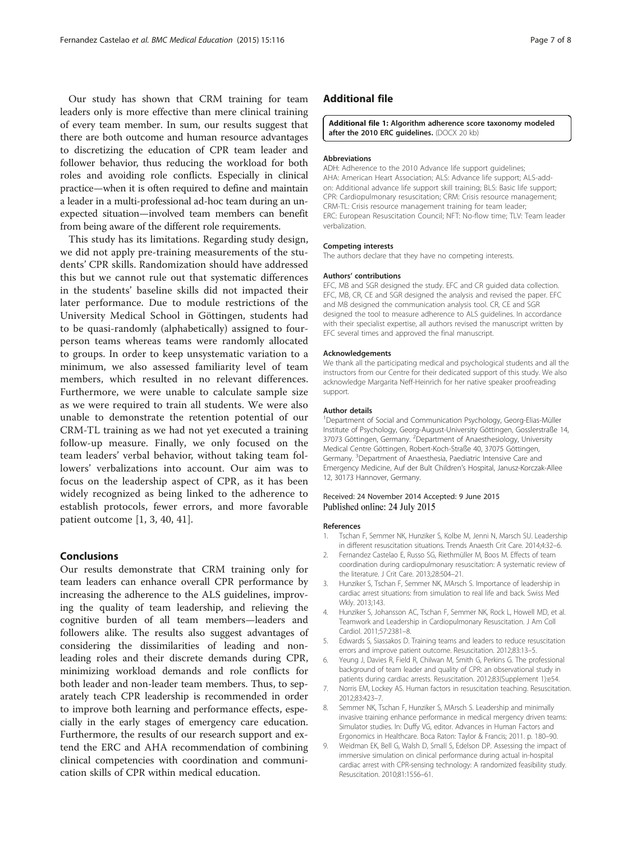<span id="page-6-0"></span>Our study has shown that CRM training for team leaders only is more effective than mere clinical training of every team member. In sum, our results suggest that there are both outcome and human resource advantages to discretizing the education of CPR team leader and follower behavior, thus reducing the workload for both roles and avoiding role conflicts. Especially in clinical practice—when it is often required to define and maintain a leader in a multi-professional ad-hoc team during an unexpected situation—involved team members can benefit from being aware of the different role requirements.

This study has its limitations. Regarding study design, we did not apply pre-training measurements of the students' CPR skills. Randomization should have addressed this but we cannot rule out that systematic differences in the students' baseline skills did not impacted their later performance. Due to module restrictions of the University Medical School in Göttingen, students had to be quasi-randomly (alphabetically) assigned to fourperson teams whereas teams were randomly allocated to groups. In order to keep unsystematic variation to a minimum, we also assessed familiarity level of team members, which resulted in no relevant differences. Furthermore, we were unable to calculate sample size as we were required to train all students. We were also unable to demonstrate the retention potential of our CRM-TL training as we had not yet executed a training follow-up measure. Finally, we only focused on the team leaders' verbal behavior, without taking team followers' verbalizations into account. Our aim was to focus on the leadership aspect of CPR, as it has been widely recognized as being linked to the adherence to establish protocols, fewer errors, and more favorable patient outcome [1, 3, [40](#page-7-0), [41\]](#page-7-0).

## Conclusions

Our results demonstrate that CRM training only for team leaders can enhance overall CPR performance by increasing the adherence to the ALS guidelines, improving the quality of team leadership, and relieving the cognitive burden of all team members—leaders and followers alike. The results also suggest advantages of considering the dissimilarities of leading and nonleading roles and their discrete demands during CPR, minimizing workload demands and role conflicts for both leader and non-leader team members. Thus, to separately teach CPR leadership is recommended in order to improve both learning and performance effects, especially in the early stages of emergency care education. Furthermore, the results of our research support and extend the ERC and AHA recommendation of combining clinical competencies with coordination and communication skills of CPR within medical education.

## Additional file

[Additional file 1:](http://www.biomedcentral.com/content/supplementary/s12909-015-0389-z-s1.docx) Algorithm adherence score taxonomy modeled after the 2010 ERC guidelines. (DOCX 20 kb)

#### **Abbreviations**

ADH: Adherence to the 2010 Advance life support guidelines; AHA: American Heart Association; ALS: Advance life support; ALS-addon: Additional advance life support skill training; BLS: Basic life support; CPR: Cardiopulmonary resuscitation; CRM: Crisis resource management; CRM-TL: Crisis resource management training for team leader; ERC: European Resuscitation Council; NFT: No-flow time; TLV: Team leader verbalization.

#### Competing interests

The authors declare that they have no competing interests.

#### Authors' contributions

EFC, MB and SGR designed the study. EFC and CR guided data collection. EFC, MB, CR, CE and SGR designed the analysis and revised the paper. EFC and MB designed the communication analysis tool. CR, CE and SGR designed the tool to measure adherence to ALS guidelines. In accordance with their specialist expertise, all authors revised the manuscript written by EFC several times and approved the final manuscript.

#### Acknowledgements

We thank all the participating medical and psychological students and all the instructors from our Centre for their dedicated support of this study. We also acknowledge Margarita Neff-Heinrich for her native speaker proofreading support.

#### Author details

<sup>1</sup>Department of Social and Communication Psychology, Georg-Elias-Müller Institute of Psychology, Georg-August-University Göttingen, Gosslerstraße 14, 37073 Göttingen, Germany. <sup>2</sup>Department of Anaesthesiology, University Medical Centre Göttingen, Robert-Koch-Straße 40, 37075 Göttingen, Germany. <sup>3</sup>Department of Anaesthesia, Paediatric Intensive Care and Emergency Medicine, Auf der Bult Children's Hospital, Janusz-Korczak-Allee 12, 30173 Hannover, Germany.

#### Received: 24 November 2014 Accepted: 9 June 2015 Published online: 24 July 2015

#### References

- 1. Tschan F, Semmer NK, Hunziker S, Kolbe M, Jenni N, Marsch SU. Leadership in different resuscitation situations. Trends Anaesth Crit Care. 2014;4:32–6.
- 2. Fernandez Castelao E, Russo SG, Riethmüller M, Boos M. Effects of team coordination during cardiopulmonary resuscitation: A systematic review of the literature. J Crit Care. 2013;28:504–21.
- 3. Hunziker S, Tschan F, Semmer NK, MArsch S. Importance of leadership in cardiac arrest situations: from simulation to real life and back. Swiss Med Wkly. 2013;143.
- 4. Hunziker S, Johansson AC, Tschan F, Semmer NK, Rock L, Howell MD, et al. Teamwork and Leadership in Cardiopulmonary Resuscitation. J Am Coll Cardiol. 2011;57:2381–8.
- 5. Edwards S, Siassakos D. Training teams and leaders to reduce resuscitation errors and improve patient outcome. Resuscitation. 2012;83:13–5.
- 6. Yeung J, Davies R, Field R, Chilwan M, Smith G, Perkins G. The professional background of team leader and quality of CPR: an observational study in patients during cardiac arrests. Resuscitation. 2012;83(Supplement 1):e54.
- 7. Norris EM, Lockey AS. Human factors in resuscitation teaching. Resuscitation. 2012;83:423–7.
- 8. Semmer NK, Tschan F, Hunziker S, MArsch S. Leadership and minimally invasive training enhance performance in medical mergency driven teams: Simulator studies. In: Duffy VG, editor. Advances in Human Factors and Ergonomics in Healthcare. Boca Raton: Taylor & Francis; 2011. p. 180–90.
- 9. Weidman EK, Bell G, Walsh D, Small S, Edelson DP. Assessing the impact of immersive simulation on clinical performance during actual in-hospital cardiac arrest with CPR-sensing technology: A randomized feasibility study. Resuscitation. 2010;81:1556–61.